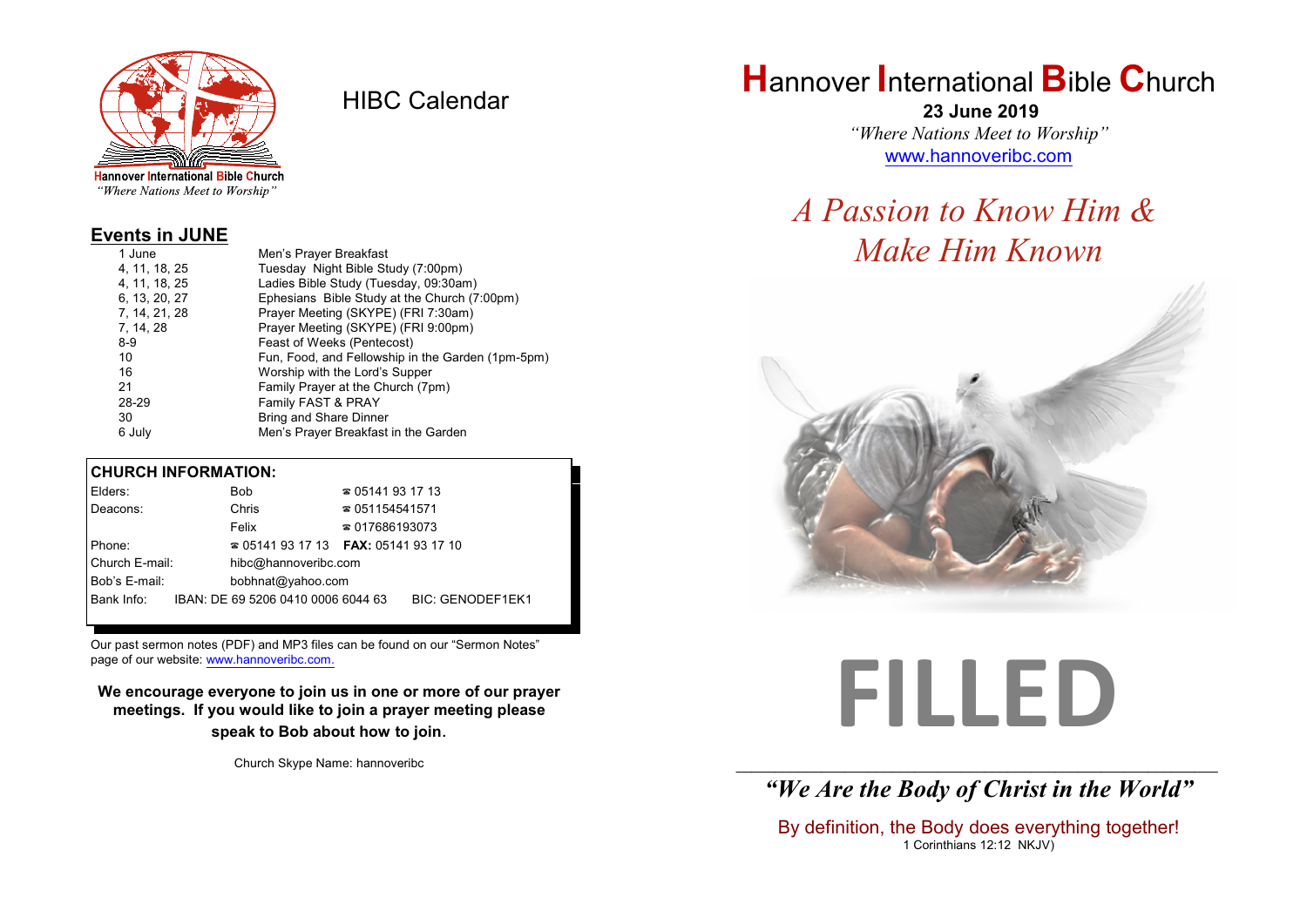

HIBC Calendar

"Where Nations Meet to Worship"

#### **Events in JUNE**

| Men's Prayer Breakfast                            |
|---------------------------------------------------|
| Tuesday Night Bible Study (7:00pm)                |
| Ladies Bible Study (Tuesday, 09:30am)             |
| Ephesians Bible Study at the Church (7:00pm)      |
| Prayer Meeting (SKYPE) (FRI 7:30am)               |
| Prayer Meeting (SKYPE) (FRI 9:00pm)               |
| Feast of Weeks (Pentecost)                        |
| Fun, Food, and Fellowship in the Garden (1pm-5pm) |
| Worship with the Lord's Supper                    |
| Family Prayer at the Church (7pm)                 |
| Family FAST & PRAY                                |
| Bring and Share Dinner                            |
| Men's Prayer Breakfast in the Garden              |
|                                                   |

#### **CHURCH INFORMATION:**

| Elders:        | Bob                                      | $\approx 05141931713$  |                  |
|----------------|------------------------------------------|------------------------|------------------|
| Deacons:       | Chris                                    | $\approx 051154541571$ |                  |
|                | Felix                                    | $\approx 017686193073$ |                  |
| Phone:         | $\approx 05141931713$ FAX: 0514193 17 10 |                        |                  |
| Church E-mail: | hibc@hannoveribc.com                     |                        |                  |
| Bob's E-mail:  | bobhnat@yahoo.com                        |                        |                  |
| Bank Info:     | IBAN: DE 69 5206 0410 0006 6044 63       |                        | BIC: GENODEF1EK1 |
|                |                                          |                        |                  |

Our past sermon notes (PDF) and MP3 files can be found on our "Sermon Notes" page of our website: [www.hannoveribc.com.](http://www.hannoveribc.com.)

**We encourage everyone to join us in one or more of our prayer meetings. If you would like to join a prayer meeting please speak to Bob about how to join**.

Church Skype Name: hannoveribc

## **H**annover **I**nternational **B**ible **C**hurch

 **23 June 2019** *"Where Nations Meet to Worship"* [www.hannoveribc.com](http://www.hannoveribc.com)

## *A Passion to Know Him & Make Him Known*



# **FILLED**

\_\_\_\_\_\_\_\_\_\_\_\_\_\_\_\_\_\_\_\_\_\_\_\_\_\_\_\_\_\_\_\_\_\_\_\_\_\_\_\_\_\_\_\_\_\_\_\_\_\_\_\_\_\_\_\_\_\_\_\_\_\_ *"We Are the Body of Christ in the World"*

By definition, the Body does everything together! 1 Corinthians 12:12 NKJV)